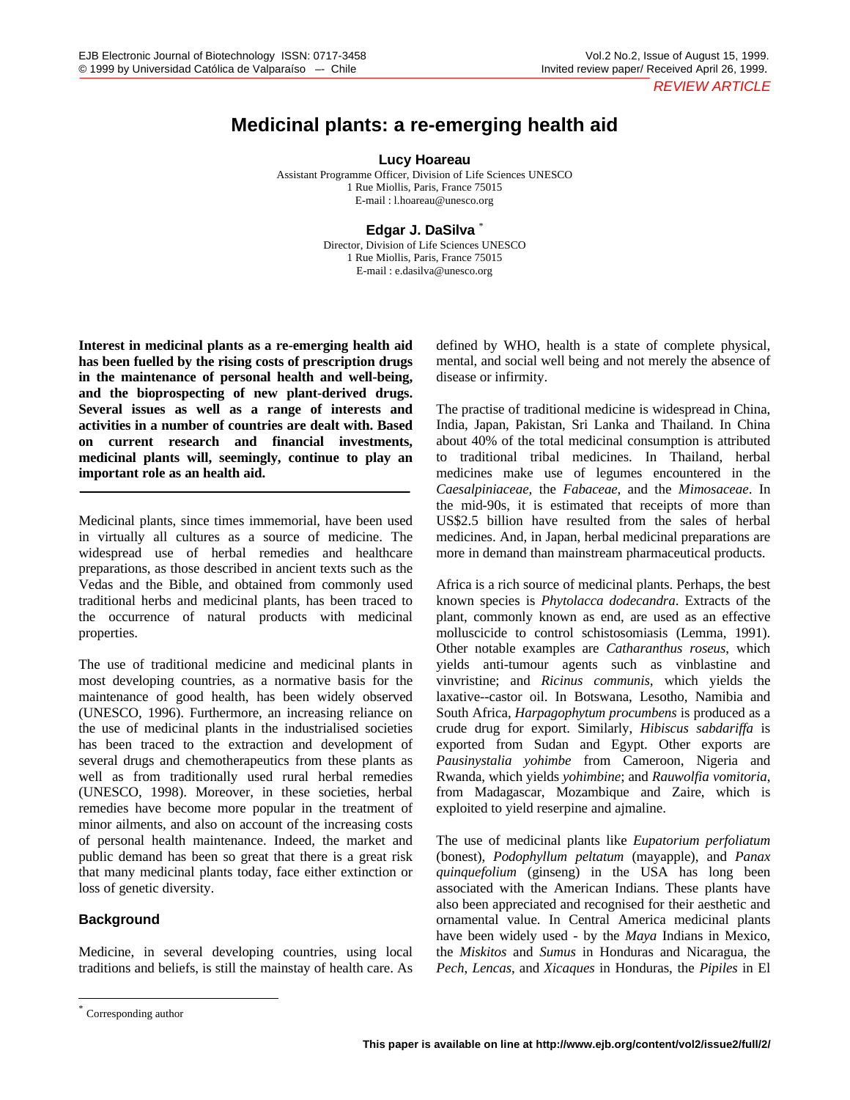# **Medicinal plants: a re-emerging health aid**

**Lucy Hoareau** Assistant Programme Officer, Division of Life Sciences UNESCO 1 Rue Miollis, Paris, France 75015 E-mail : l.hoareau@unesco.org

> **Edgar J. DaSilva** \* Director, Division of Life Sciences UNESCO 1 Rue Miollis, Paris, France 75015 E-mail : e.dasilva@unesco.org

**Interest in medicinal plants as a re-emerging health aid has been fuelled by the rising costs of prescription drugs in the maintenance of personal health and well-being, and the bioprospecting of new plant-derived drugs. Several issues as well as a range of interests and activities in a number of countries are dealt with. Based on current research and financial investments, medicinal plants will, seemingly, continue to play an important role as an health aid.**

Medicinal plants, since times immemorial, have been used in virtually all cultures as a source of medicine. The widespread use of herbal remedies and healthcare preparations, as those described in ancient texts such as the Vedas and the Bible, and obtained from commonly used traditional herbs and medicinal plants, has been traced to the occurrence of natural products with medicinal properties.

The use of traditional medicine and medicinal plants in most developing countries, as a normative basis for the maintenance of good health, has been widely observed (UNESCO, 1996). Furthermore, an increasing reliance on the use of medicinal plants in the industrialised societies has been traced to the extraction and development of several drugs and chemotherapeutics from these plants as well as from traditionally used rural herbal remedies (UNESCO, 1998). Moreover, in these societies, herbal remedies have become more popular in the treatment of minor ailments, and also on account of the increasing costs of personal health maintenance. Indeed, the market and public demand has been so great that there is a great risk that many medicinal plants today, face either extinction or loss of genetic diversity.

## **Background**

 $\overline{a}$ 

Medicine, in several developing countries, using local traditions and beliefs, is still the mainstay of health care. As defined by WHO, health is a state of complete physical, mental, and social well being and not merely the absence of disease or infirmity.

The practise of traditional medicine is widespread in China, India, Japan, Pakistan, Sri Lanka and Thailand. In China about 40% of the total medicinal consumption is attributed to traditional tribal medicines. In Thailand, herbal medicines make use of legumes encountered in the *Caesalpiniaceae,* the *Fabaceae*, and the *Mimosaceae*. In the mid-90s, it is estimated that receipts of more than US\$2.5 billion have resulted from the sales of herbal medicines. And, in Japan, herbal medicinal preparations are more in demand than mainstream pharmaceutical products.

Africa is a rich source of medicinal plants. Perhaps, the best known species is *Phytolacca dodecandra*. Extracts of the plant, commonly known as end, are used as an effective molluscicide to control schistosomiasis (Lemma, 1991). Other notable examples are *Catharanthus roseus*, which yields anti-tumour agents such as vinblastine and vinvristine; and *Ricinus communis*, which yields the laxative--castor oil. In Botswana, Lesotho, Namibia and South Africa, *Harpagophytum procumbens* is produced as a crude drug for export. Similarly, *Hibiscus sabdariffa* is exported from Sudan and Egypt. Other exports are *Pausinystalia yohimbe* from Cameroon, Nigeria and Rwanda, which yields *yohimbine*; and *Rauwolfia vomitoria*, from Madagascar, Mozambique and Zaire, which is exploited to yield reserpine and ajmaline.

The use of medicinal plants like *Eupatorium perfoliatum* (bonest), *Podophyllum peltatum* (mayapple), and *Panax quinquefolium* (ginseng) in the USA has long been associated with the American Indians. These plants have also been appreciated and recognised for their aesthetic and ornamental value. In Central America medicinal plants have been widely used - by the *Maya* Indians in Mexico, the *Miskitos* and *Sumus* in Honduras and Nicaragua, the *Pech*, *Lencas*, and *Xicaques* in Honduras, the *Pipiles* in El

Corresponding author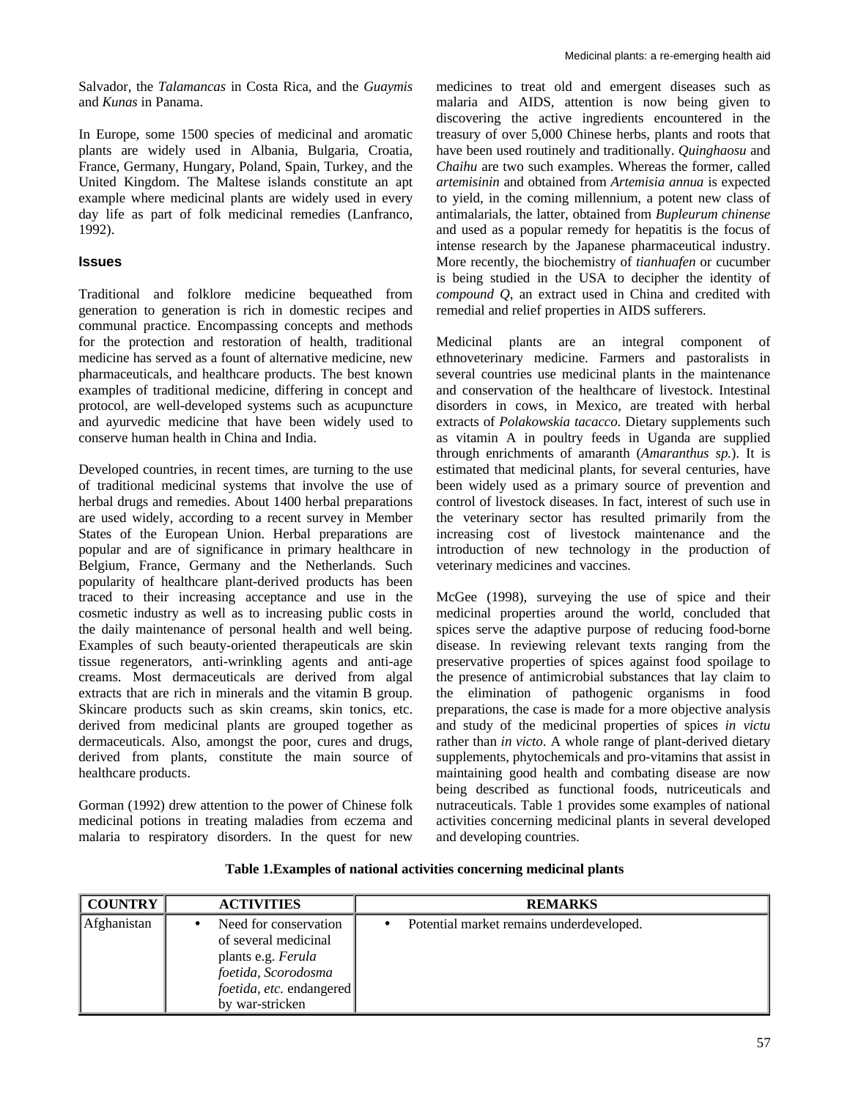Salvador, the *Talamancas* in Costa Rica, and the *Guaymis* and *Kunas* in Panama.

In Europe, some 1500 species of medicinal and aromatic plants are widely used in Albania, Bulgaria, Croatia, France, Germany, Hungary, Poland, Spain, Turkey, and the United Kingdom. The Maltese islands constitute an apt example where medicinal plants are widely used in every day life as part of folk medicinal remedies (Lanfranco, 1992).

## **Issues**

Traditional and folklore medicine bequeathed from generation to generation is rich in domestic recipes and communal practice. Encompassing concepts and methods for the protection and restoration of health, traditional medicine has served as a fount of alternative medicine, new pharmaceuticals, and healthcare products. The best known examples of traditional medicine, differing in concept and protocol, are well-developed systems such as acupuncture and ayurvedic medicine that have been widely used to conserve human health in China and India.

Developed countries, in recent times, are turning to the use of traditional medicinal systems that involve the use of herbal drugs and remedies. About 1400 herbal preparations are used widely, according to a recent survey in Member States of the European Union. Herbal preparations are popular and are of significance in primary healthcare in Belgium, France, Germany and the Netherlands. Such popularity of healthcare plant-derived products has been traced to their increasing acceptance and use in the cosmetic industry as well as to increasing public costs in the daily maintenance of personal health and well being. Examples of such beauty-oriented therapeuticals are skin tissue regenerators, anti-wrinkling agents and anti-age creams. Most dermaceuticals are derived from algal extracts that are rich in minerals and the vitamin B group. Skincare products such as skin creams, skin tonics, etc. derived from medicinal plants are grouped together as dermaceuticals. Also, amongst the poor, cures and drugs, derived from plants, constitute the main source of healthcare products.

Gorman (1992) drew attention to the power of Chinese folk medicinal potions in treating maladies from eczema and malaria to respiratory disorders. In the quest for new

medicines to treat old and emergent diseases such as malaria and AIDS, attention is now being given to discovering the active ingredients encountered in the treasury of over 5,000 Chinese herbs, plants and roots that have been used routinely and traditionally. *Quinghaosu* and *Chaihu* are two such examples. Whereas the former, called *artemisinin* and obtained from *Artemisia annua* is expected to yield, in the coming millennium, a potent new class of antimalarials, the latter, obtained from *Bupleurum chinense* and used as a popular remedy for hepatitis is the focus of intense research by the Japanese pharmaceutical industry. More recently, the biochemistry of *tianhuafen* or cucumber is being studied in the USA to decipher the identity of *compound Q*, an extract used in China and credited with remedial and relief properties in AIDS sufferers.

Medicinal plants are an integral component of ethnoveterinary medicine. Farmers and pastoralists in several countries use medicinal plants in the maintenance and conservation of the healthcare of livestock. Intestinal disorders in cows, in Mexico, are treated with herbal extracts of *Polakowskia tacacco*. Dietary supplements such as vitamin A in poultry feeds in Uganda are supplied through enrichments of amaranth (*Amaranthus sp.*). It is estimated that medicinal plants, for several centuries, have been widely used as a primary source of prevention and control of livestock diseases. In fact, interest of such use in the veterinary sector has resulted primarily from the increasing cost of livestock maintenance and the introduction of new technology in the production of veterinary medicines and vaccines.

McGee (1998), surveying the use of spice and their medicinal properties around the world, concluded that spices serve the adaptive purpose of reducing food-borne disease. In reviewing relevant texts ranging from the preservative properties of spices against food spoilage to the presence of antimicrobial substances that lay claim to the elimination of pathogenic organisms in food preparations, the case is made for a more objective analysis and study of the medicinal properties of spices *in victu* rather than *in victo*. A whole range of plant-derived dietary supplements, phytochemicals and pro-vitamins that assist in maintaining good health and combating disease are now being described as functional foods, nutriceuticals and nutraceuticals. Table 1 provides some examples of national activities concerning medicinal plants in several developed and developing countries.

**Table 1.Examples of national activities concerning medicinal plants**

| <b>COUNTRY</b> | <b>ACTIVITIES</b>                                                                                                                         | <b>REMARKS</b>                           |
|----------------|-------------------------------------------------------------------------------------------------------------------------------------------|------------------------------------------|
| Afghanistan    | Need for conservation<br>of several medicinal<br>plants e.g. Ferula<br>foetida, Scorodosma<br>foetida, etc. endangered<br>by war-stricken | Potential market remains underdeveloped. |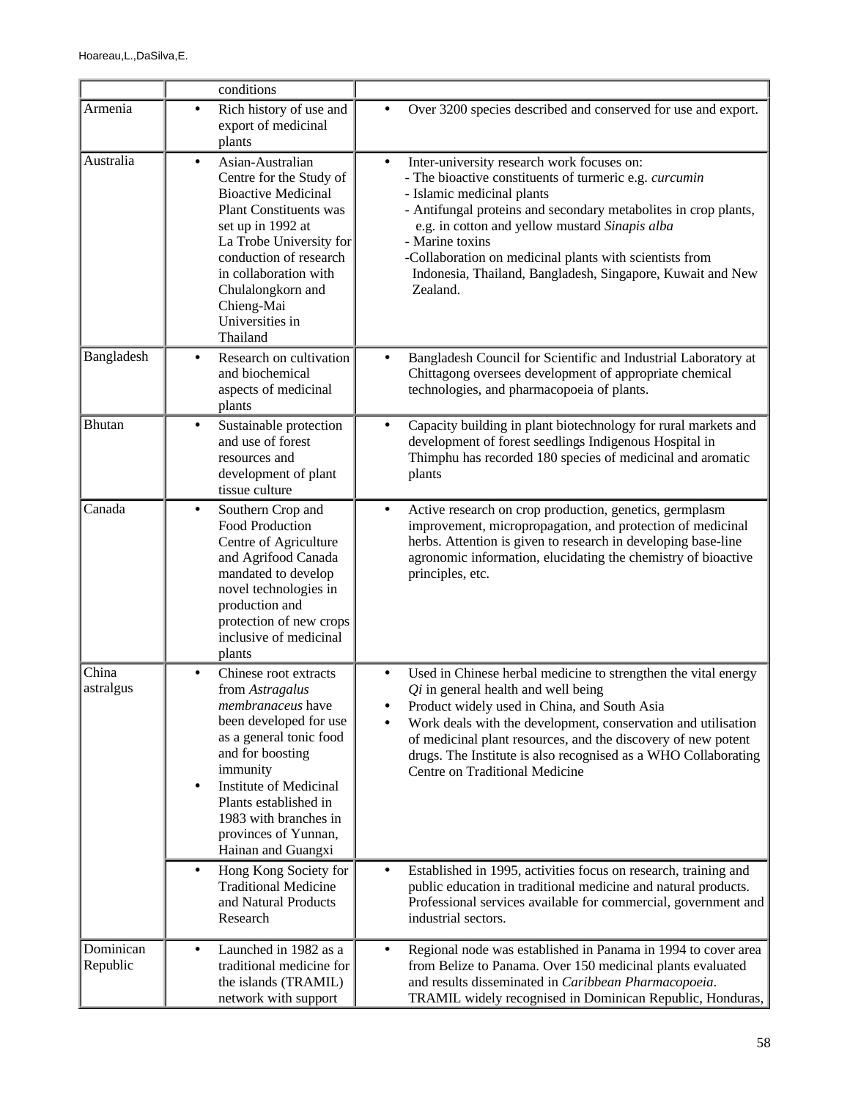|                       | conditions                                                                                                                                                                                                                                                                                       |                                                                                                                                                                                                                                                                                                                                                                                                                              |
|-----------------------|--------------------------------------------------------------------------------------------------------------------------------------------------------------------------------------------------------------------------------------------------------------------------------------------------|------------------------------------------------------------------------------------------------------------------------------------------------------------------------------------------------------------------------------------------------------------------------------------------------------------------------------------------------------------------------------------------------------------------------------|
| Armenia               | Rich history of use and<br>$\bullet$<br>export of medicinal<br>plants                                                                                                                                                                                                                            | Over 3200 species described and conserved for use and export.<br>$\bullet$                                                                                                                                                                                                                                                                                                                                                   |
| Australia             | Asian-Australian<br>$\bullet$<br>Centre for the Study of<br><b>Bioactive Medicinal</b><br><b>Plant Constituents was</b><br>set up in 1992 at<br>La Trobe University for<br>conduction of research<br>in collaboration with<br>Chulalongkorn and<br>Chieng-Mai<br>Universities in<br>Thailand     | Inter-university research work focuses on:<br>$\bullet$<br>- The bioactive constituents of turmeric e.g. curcumin<br>- Islamic medicinal plants<br>- Antifungal proteins and secondary metabolites in crop plants,<br>e.g. in cotton and yellow mustard Sinapis alba<br>- Marine toxins<br>-Collaboration on medicinal plants with scientists from<br>Indonesia, Thailand, Bangladesh, Singapore, Kuwait and New<br>Zealand. |
| Bangladesh            | Research on cultivation<br>$\bullet$<br>and biochemical<br>aspects of medicinal<br>plants                                                                                                                                                                                                        | Bangladesh Council for Scientific and Industrial Laboratory at<br>$\bullet$<br>Chittagong oversees development of appropriate chemical<br>technologies, and pharmacopoeia of plants.                                                                                                                                                                                                                                         |
| <b>Bhutan</b>         | Sustainable protection<br>$\bullet$<br>and use of forest<br>resources and<br>development of plant<br>tissue culture                                                                                                                                                                              | Capacity building in plant biotechnology for rural markets and<br>$\bullet$<br>development of forest seedlings Indigenous Hospital in<br>Thimphu has recorded 180 species of medicinal and aromatic<br>plants                                                                                                                                                                                                                |
| Canada                | Southern Crop and<br>$\bullet$<br><b>Food Production</b><br>Centre of Agriculture<br>and Agrifood Canada<br>mandated to develop<br>novel technologies in<br>production and<br>protection of new crops<br>inclusive of medicinal<br>plants                                                        | Active research on crop production, genetics, germplasm<br>$\bullet$<br>improvement, micropropagation, and protection of medicinal<br>herbs. Attention is given to research in developing base-line<br>agronomic information, elucidating the chemistry of bioactive<br>principles, etc.                                                                                                                                     |
| China<br>astralgus    | Chinese root extracts<br>$\bullet$<br>from Astragalus<br>membranaceus have<br>been developed for use<br>as a general tonic food<br>and for boosting<br>immunity<br><b>Institute of Medicinal</b><br>Plants established in<br>1983 with branches in<br>provinces of Yunnan,<br>Hainan and Guangxi | Used in Chinese herbal medicine to strengthen the vital energy<br>$\bullet$<br>$Qi$ in general health and well being<br>Product widely used in China, and South Asia<br>Work deals with the development, conservation and utilisation<br>of medicinal plant resources, and the discovery of new potent<br>drugs. The Institute is also recognised as a WHO Collaborating<br>Centre on Traditional Medicine                   |
|                       | Hong Kong Society for<br>$\bullet$<br><b>Traditional Medicine</b><br>and Natural Products<br>Research                                                                                                                                                                                            | Established in 1995, activities focus on research, training and<br>$\bullet$<br>public education in traditional medicine and natural products.<br>Professional services available for commercial, government and<br>industrial sectors.                                                                                                                                                                                      |
| Dominican<br>Republic | Launched in 1982 as a<br>$\bullet$<br>traditional medicine for<br>the islands (TRAMIL)<br>network with support                                                                                                                                                                                   | Regional node was established in Panama in 1994 to cover area<br>$\bullet$<br>from Belize to Panama. Over 150 medicinal plants evaluated<br>and results disseminated in Caribbean Pharmacopoeia.<br>TRAMIL widely recognised in Dominican Republic, Honduras,                                                                                                                                                                |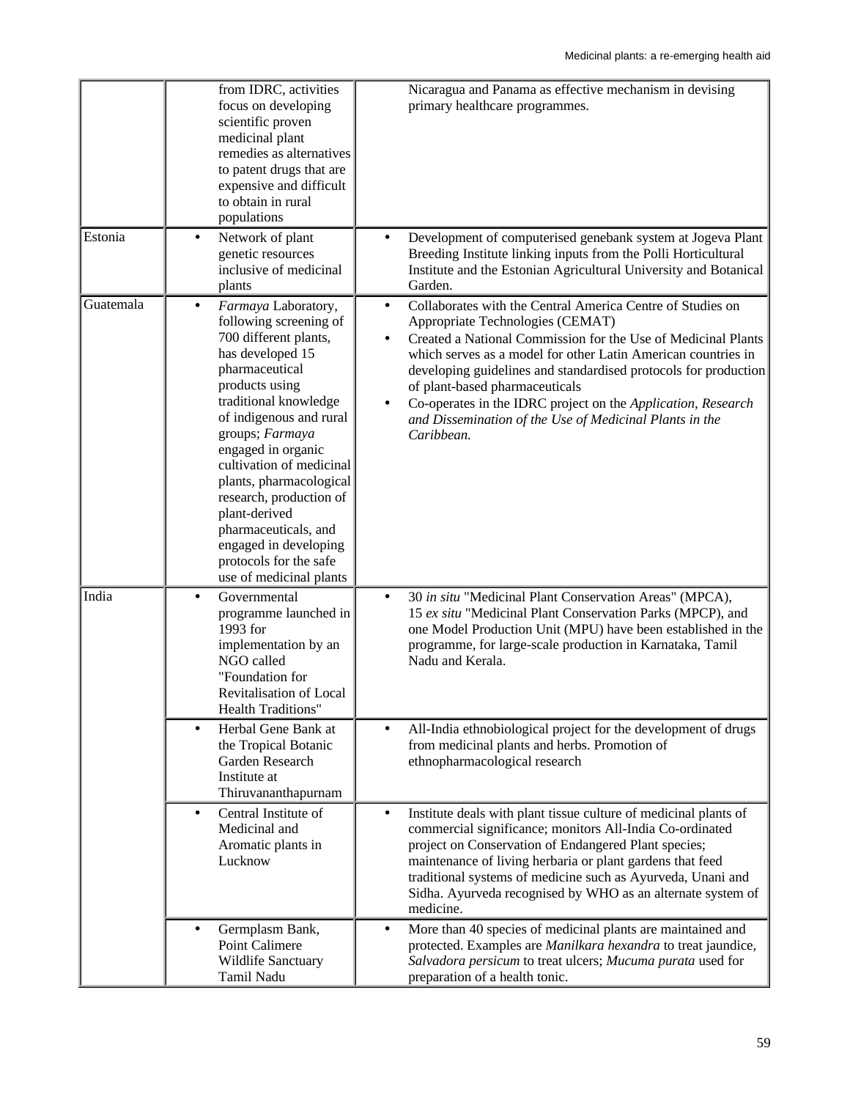|           | from IDRC, activities<br>focus on developing<br>scientific proven<br>medicinal plant<br>remedies as alternatives<br>to patent drugs that are<br>expensive and difficult<br>to obtain in rural<br>populations                                                                                                                                                                                                                                      | Nicaragua and Panama as effective mechanism in devising<br>primary healthcare programmes.                                                                                                                                                                                                                                                                                                                                                                                                                             |
|-----------|---------------------------------------------------------------------------------------------------------------------------------------------------------------------------------------------------------------------------------------------------------------------------------------------------------------------------------------------------------------------------------------------------------------------------------------------------|-----------------------------------------------------------------------------------------------------------------------------------------------------------------------------------------------------------------------------------------------------------------------------------------------------------------------------------------------------------------------------------------------------------------------------------------------------------------------------------------------------------------------|
| Estonia   | Network of plant<br>$\bullet$<br>genetic resources<br>inclusive of medicinal<br>plants                                                                                                                                                                                                                                                                                                                                                            | Development of computerised genebank system at Jogeva Plant<br>Breeding Institute linking inputs from the Polli Horticultural<br>Institute and the Estonian Agricultural University and Botanical<br>Garden.                                                                                                                                                                                                                                                                                                          |
| Guatemala | Farmaya Laboratory,<br>$\bullet$<br>following screening of<br>700 different plants,<br>has developed 15<br>pharmaceutical<br>products using<br>traditional knowledge<br>of indigenous and rural<br>groups; Farmaya<br>engaged in organic<br>cultivation of medicinal<br>plants, pharmacological<br>research, production of<br>plant-derived<br>pharmaceuticals, and<br>engaged in developing<br>protocols for the safe<br>use of medicinal plants | Collaborates with the Central America Centre of Studies on<br>$\bullet$<br>Appropriate Technologies (CEMAT)<br>Created a National Commission for the Use of Medicinal Plants<br>$\bullet$<br>which serves as a model for other Latin American countries in<br>developing guidelines and standardised protocols for production<br>of plant-based pharmaceuticals<br>Co-operates in the IDRC project on the Application, Research<br>$\bullet$<br>and Dissemination of the Use of Medicinal Plants in the<br>Caribbean. |
| India     | Governmental<br>programme launched in<br>1993 for<br>implementation by an<br>NGO called<br>"Foundation for<br>Revitalisation of Local<br><b>Health Traditions"</b>                                                                                                                                                                                                                                                                                | 30 in situ "Medicinal Plant Conservation Areas" (MPCA),<br>$\bullet$<br>15 ex situ "Medicinal Plant Conservation Parks (MPCP), and<br>one Model Production Unit (MPU) have been established in the<br>programme, for large-scale production in Karnataka, Tamil<br>Nadu and Kerala.                                                                                                                                                                                                                                   |
|           | Herbal Gene Bank at<br>the Tropical Botanic<br>Garden Research<br>Institute at<br>Thiruvananthapurnam                                                                                                                                                                                                                                                                                                                                             | All-India ethnobiological project for the development of drugs<br>from medicinal plants and herbs. Promotion of<br>ethnopharmacological research                                                                                                                                                                                                                                                                                                                                                                      |
|           | Central Institute of<br>$\bullet$<br>Medicinal and<br>Aromatic plants in<br>Lucknow                                                                                                                                                                                                                                                                                                                                                               | Institute deals with plant tissue culture of medicinal plants of<br>commercial significance; monitors All-India Co-ordinated<br>project on Conservation of Endangered Plant species;<br>maintenance of living herbaria or plant gardens that feed<br>traditional systems of medicine such as Ayurveda, Unani and<br>Sidha. Ayurveda recognised by WHO as an alternate system of<br>medicine.                                                                                                                          |
|           | Germplasm Bank,<br>Point Calimere<br>Wildlife Sanctuary<br>Tamil Nadu                                                                                                                                                                                                                                                                                                                                                                             | More than 40 species of medicinal plants are maintained and<br>$\bullet$<br>protected. Examples are Manilkara hexandra to treat jaundice,<br>Salvadora persicum to treat ulcers; Mucuma purata used for<br>preparation of a health tonic.                                                                                                                                                                                                                                                                             |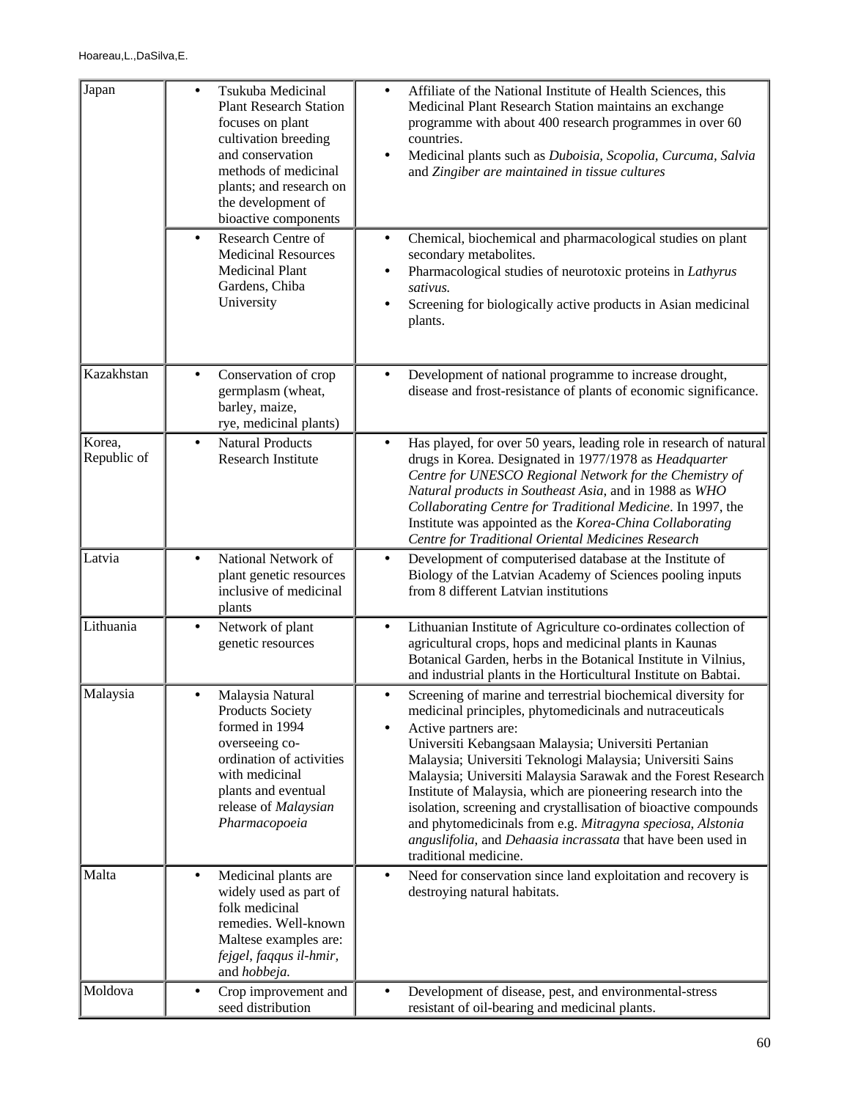| Japan                 | Tsukuba Medicinal<br>$\bullet$<br><b>Plant Research Station</b><br>focuses on plant<br>cultivation breeding<br>and conservation<br>methods of medicinal<br>plants; and research on<br>the development of<br>bioactive components | Affiliate of the National Institute of Health Sciences, this<br>$\bullet$<br>Medicinal Plant Research Station maintains an exchange<br>programme with about 400 research programmes in over 60<br>countries.<br>Medicinal plants such as Duboisia, Scopolia, Curcuma, Salvia<br>$\bullet$<br>and Zingiber are maintained in tissue cultures                                                                                                                                                                                                                                                                                                                  |
|-----------------------|----------------------------------------------------------------------------------------------------------------------------------------------------------------------------------------------------------------------------------|--------------------------------------------------------------------------------------------------------------------------------------------------------------------------------------------------------------------------------------------------------------------------------------------------------------------------------------------------------------------------------------------------------------------------------------------------------------------------------------------------------------------------------------------------------------------------------------------------------------------------------------------------------------|
|                       | Research Centre of<br>$\bullet$<br><b>Medicinal Resources</b><br><b>Medicinal Plant</b><br>Gardens, Chiba<br>University                                                                                                          | Chemical, biochemical and pharmacological studies on plant<br>$\bullet$<br>secondary metabolites.<br>Pharmacological studies of neurotoxic proteins in Lathyrus<br>$\bullet$<br>sativus.<br>Screening for biologically active products in Asian medicinal<br>$\bullet$<br>plants.                                                                                                                                                                                                                                                                                                                                                                            |
| Kazakhstan            | Conservation of crop<br>$\bullet$<br>germplasm (wheat,<br>barley, maize,<br>rye, medicinal plants)                                                                                                                               | Development of national programme to increase drought,<br>$\bullet$<br>disease and frost-resistance of plants of economic significance.                                                                                                                                                                                                                                                                                                                                                                                                                                                                                                                      |
| Korea,<br>Republic of | <b>Natural Products</b><br>$\bullet$<br><b>Research Institute</b>                                                                                                                                                                | Has played, for over 50 years, leading role in research of natural<br>$\bullet$<br>drugs in Korea. Designated in 1977/1978 as Headquarter<br>Centre for UNESCO Regional Network for the Chemistry of<br>Natural products in Southeast Asia, and in 1988 as WHO<br>Collaborating Centre for Traditional Medicine. In 1997, the<br>Institute was appointed as the Korea-China Collaborating<br>Centre for Traditional Oriental Medicines Research                                                                                                                                                                                                              |
| Latvia                | National Network of<br>plant genetic resources<br>inclusive of medicinal<br>plants                                                                                                                                               | Development of computerised database at the Institute of<br>$\bullet$<br>Biology of the Latvian Academy of Sciences pooling inputs<br>from 8 different Latvian institutions                                                                                                                                                                                                                                                                                                                                                                                                                                                                                  |
| Lithuania             | Network of plant<br>$\bullet$<br>genetic resources                                                                                                                                                                               | Lithuanian Institute of Agriculture co-ordinates collection of<br>$\bullet$<br>agricultural crops, hops and medicinal plants in Kaunas<br>Botanical Garden, herbs in the Botanical Institute in Vilnius,<br>and industrial plants in the Horticultural Institute on Babtai.                                                                                                                                                                                                                                                                                                                                                                                  |
| Malaysia              | Malaysia Natural<br><b>Products Society</b><br>formed in 1994<br>overseeing co-<br>ordination of activities<br>with medicinal<br>plants and eventual<br>release of Malaysian<br>Pharmacopoeia                                    | Screening of marine and terrestrial biochemical diversity for<br>$\bullet$<br>medicinal principles, phytomedicinals and nutraceuticals<br>Active partners are:<br>$\bullet$<br>Universiti Kebangsaan Malaysia; Universiti Pertanian<br>Malaysia; Universiti Teknologi Malaysia; Universiti Sains<br>Malaysia; Universiti Malaysia Sarawak and the Forest Research<br>Institute of Malaysia, which are pioneering research into the<br>isolation, screening and crystallisation of bioactive compounds<br>and phytomedicinals from e.g. Mitragyna speciosa, Alstonia<br>anguslifolia, and Dehaasia incrassata that have been used in<br>traditional medicine. |
| Malta                 | Medicinal plants are<br>widely used as part of<br>folk medicinal<br>remedies. Well-known<br>Maltese examples are:<br>fejgel, faqqus il-hmir,<br>and hobbeja.                                                                     | Need for conservation since land exploitation and recovery is<br>$\bullet$<br>destroying natural habitats.                                                                                                                                                                                                                                                                                                                                                                                                                                                                                                                                                   |
| Moldova               | Crop improvement and<br>$\bullet$<br>seed distribution                                                                                                                                                                           | Development of disease, pest, and environmental-stress<br>$\bullet$<br>resistant of oil-bearing and medicinal plants.                                                                                                                                                                                                                                                                                                                                                                                                                                                                                                                                        |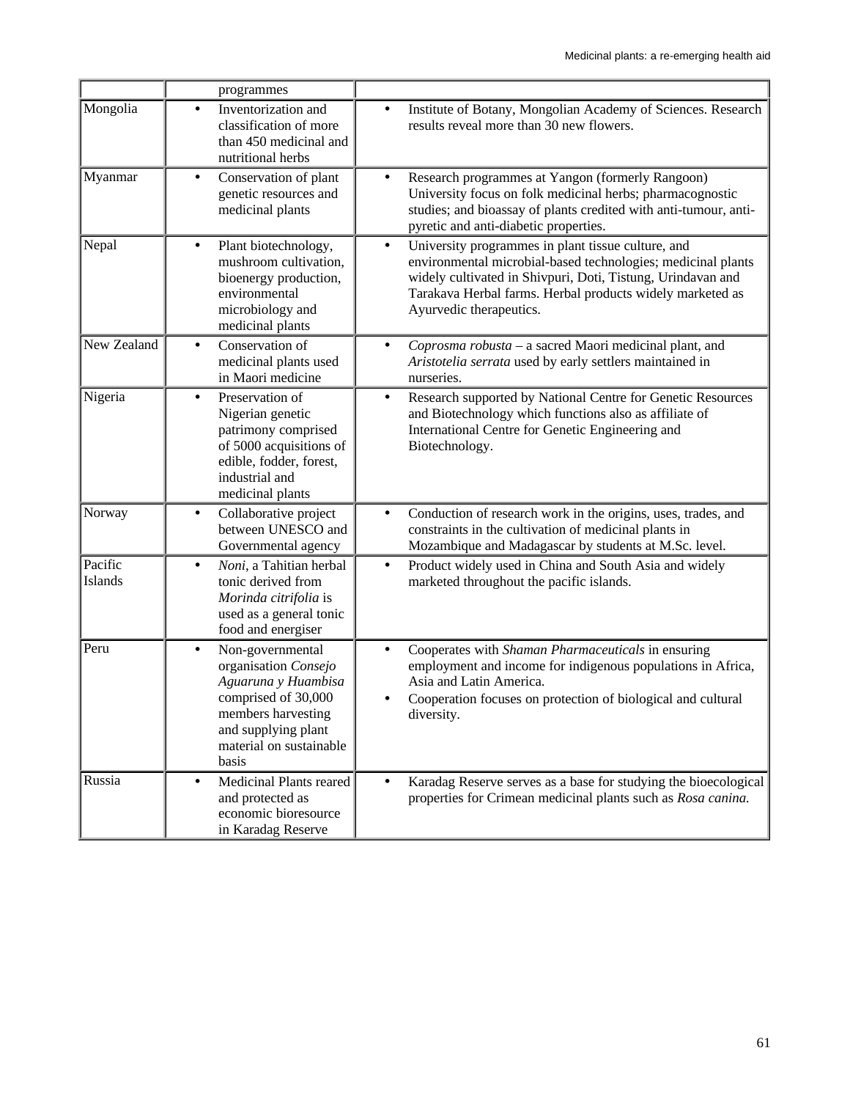|                    | programmes                                                                                                                                                                           |                                                                                                                                                                                                                                                                                        |
|--------------------|--------------------------------------------------------------------------------------------------------------------------------------------------------------------------------------|----------------------------------------------------------------------------------------------------------------------------------------------------------------------------------------------------------------------------------------------------------------------------------------|
| Mongolia           | Inventorization and<br>classification of more<br>than 450 medicinal and<br>nutritional herbs                                                                                         | Institute of Botany, Mongolian Academy of Sciences. Research<br>results reveal more than 30 new flowers.                                                                                                                                                                               |
| Myanmar            | Conservation of plant<br>$\bullet$<br>genetic resources and<br>medicinal plants                                                                                                      | Research programmes at Yangon (formerly Rangoon)<br>$\bullet$<br>University focus on folk medicinal herbs; pharmacognostic<br>studies; and bioassay of plants credited with anti-tumour, anti-<br>pyretic and anti-diabetic properties.                                                |
| Nepal              | Plant biotechnology,<br>$\bullet$<br>mushroom cultivation,<br>bioenergy production,<br>environmental<br>microbiology and<br>medicinal plants                                         | University programmes in plant tissue culture, and<br>$\bullet$<br>environmental microbial-based technologies; medicinal plants<br>widely cultivated in Shivpuri, Doti, Tistung, Urindavan and<br>Tarakava Herbal farms. Herbal products widely marketed as<br>Ayurvedic therapeutics. |
| New Zealand        | Conservation of<br>$\bullet$<br>medicinal plants used<br>in Maori medicine                                                                                                           | Coprosma robusta – a sacred Maori medicinal plant, and<br>$\bullet$<br>Aristotelia serrata used by early settlers maintained in<br>nurseries.                                                                                                                                          |
| Nigeria            | Preservation of<br>$\bullet$<br>Nigerian genetic<br>patrimony comprised<br>of 5000 acquisitions of<br>edible, fodder, forest,<br>industrial and<br>medicinal plants                  | Research supported by National Centre for Genetic Resources<br>$\bullet$<br>and Biotechnology which functions also as affiliate of<br>International Centre for Genetic Engineering and<br>Biotechnology.                                                                               |
| Norway             | Collaborative project<br>٠<br>between UNESCO and<br>Governmental agency                                                                                                              | Conduction of research work in the origins, uses, trades, and<br>$\bullet$<br>constraints in the cultivation of medicinal plants in<br>Mozambique and Madagascar by students at M.Sc. level.                                                                                           |
| Pacific<br>Islands | Noni, a Tahitian herbal<br>$\bullet$<br>tonic derived from<br>Morinda citrifolia is<br>used as a general tonic<br>food and energiser                                                 | Product widely used in China and South Asia and widely<br>$\bullet$<br>marketed throughout the pacific islands.                                                                                                                                                                        |
| Peru               | Non-governmental<br>$\bullet$<br>organisation Consejo<br>Aguaruna y Huambisa<br>comprised of 30,000<br>members harvesting<br>and supplying plant<br>material on sustainable<br>basis | Cooperates with Shaman Pharmaceuticals in ensuring<br>$\bullet$<br>employment and income for indigenous populations in Africa,<br>Asia and Latin America.<br>Cooperation focuses on protection of biological and cultural<br>diversity.                                                |
| Russia             | Medicinal Plants reared<br>and protected as<br>economic bioresource<br>in Karadag Reserve                                                                                            | Karadag Reserve serves as a base for studying the bioecological<br>properties for Crimean medicinal plants such as Rosa canina.                                                                                                                                                        |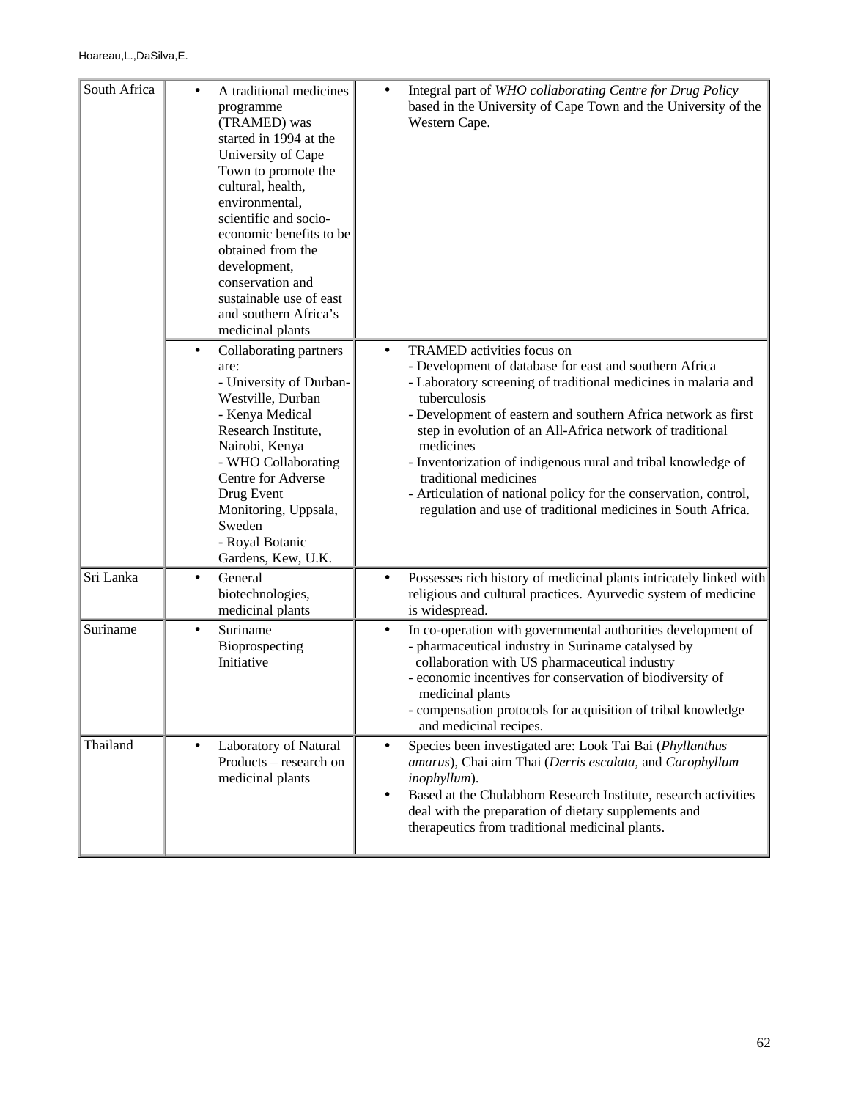| South Africa | A traditional medicines<br>programme<br>(TRAMED) was<br>started in 1994 at the<br>University of Cape<br>Town to promote the<br>cultural, health,<br>environmental,<br>scientific and socio-<br>economic benefits to be<br>obtained from the<br>development,<br>conservation and               | Integral part of WHO collaborating Centre for Drug Policy<br>$\bullet$<br>based in the University of Cape Town and the University of the<br>Western Cape.                                                                                                                                                                                                                                                                                                                                                                                                    |
|--------------|-----------------------------------------------------------------------------------------------------------------------------------------------------------------------------------------------------------------------------------------------------------------------------------------------|--------------------------------------------------------------------------------------------------------------------------------------------------------------------------------------------------------------------------------------------------------------------------------------------------------------------------------------------------------------------------------------------------------------------------------------------------------------------------------------------------------------------------------------------------------------|
|              | sustainable use of east<br>and southern Africa's<br>medicinal plants                                                                                                                                                                                                                          |                                                                                                                                                                                                                                                                                                                                                                                                                                                                                                                                                              |
|              | Collaborating partners<br>$\bullet$<br>are:<br>- University of Durban-<br>Westville, Durban<br>- Kenya Medical<br>Research Institute,<br>Nairobi, Kenya<br>- WHO Collaborating<br>Centre for Adverse<br>Drug Event<br>Monitoring, Uppsala,<br>Sweden<br>- Royal Botanic<br>Gardens, Kew, U.K. | TRAMED activities focus on<br>$\bullet$<br>- Development of database for east and southern Africa<br>- Laboratory screening of traditional medicines in malaria and<br>tuberculosis<br>- Development of eastern and southern Africa network as first<br>step in evolution of an All-Africa network of traditional<br>medicines<br>- Inventorization of indigenous rural and tribal knowledge of<br>traditional medicines<br>- Articulation of national policy for the conservation, control,<br>regulation and use of traditional medicines in South Africa. |
| Sri Lanka    | General<br>$\bullet$<br>biotechnologies,<br>medicinal plants                                                                                                                                                                                                                                  | Possesses rich history of medicinal plants intricately linked with<br>$\bullet$<br>religious and cultural practices. Ayurvedic system of medicine<br>is widespread.                                                                                                                                                                                                                                                                                                                                                                                          |
| Suriname     | Suriname<br>$\bullet$<br>Bioprospecting<br>Initiative                                                                                                                                                                                                                                         | In co-operation with governmental authorities development of<br>$\bullet$<br>- pharmaceutical industry in Suriname catalysed by<br>collaboration with US pharmaceutical industry<br>- economic incentives for conservation of biodiversity of<br>medicinal plants<br>- compensation protocols for acquisition of tribal knowledge<br>and medicinal recipes.                                                                                                                                                                                                  |
| Thailand     | Laboratory of Natural<br>$\bullet$<br>Products – research on<br>medicinal plants                                                                                                                                                                                                              | Species been investigated are: Look Tai Bai (Phyllanthus<br>$\bullet$<br>amarus), Chai aim Thai (Derris escalata, and Carophyllum<br>inophyllum).<br>Based at the Chulabhorn Research Institute, research activities<br>٠<br>deal with the preparation of dietary supplements and<br>therapeutics from traditional medicinal plants.                                                                                                                                                                                                                         |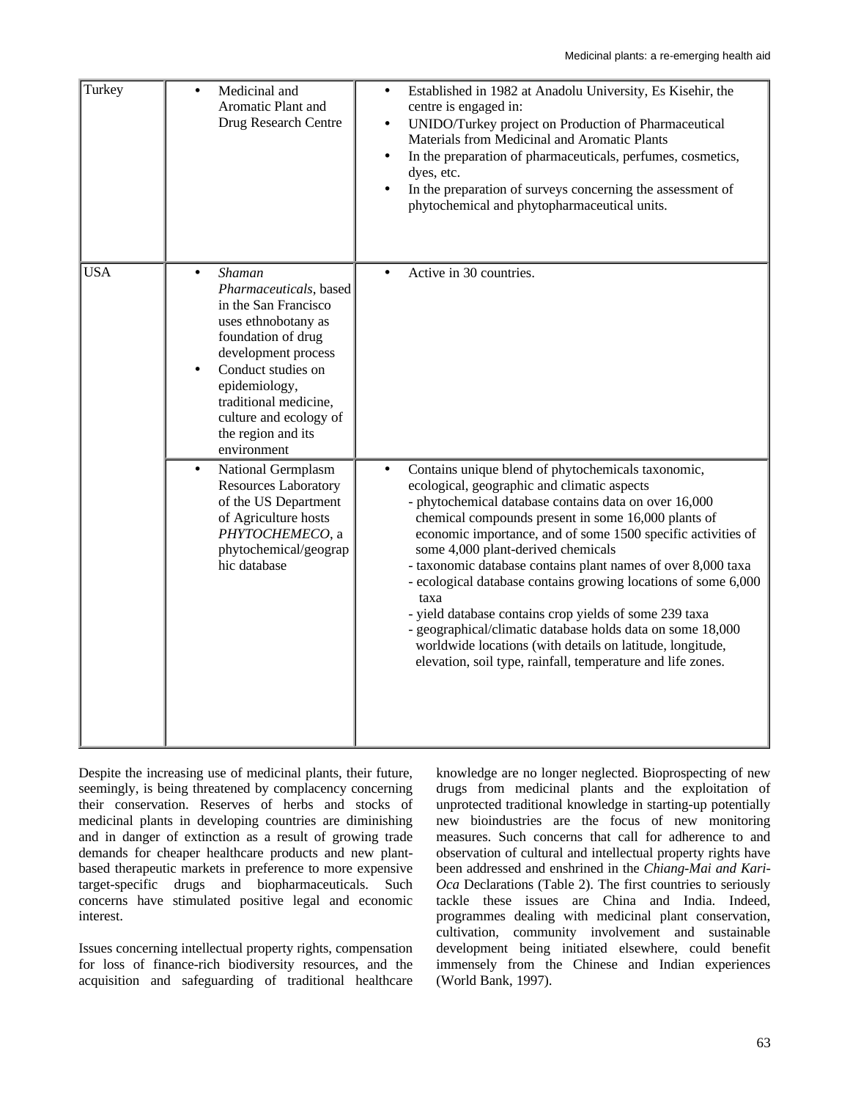| Turkey     | Medicinal and<br>Aromatic Plant and<br>Drug Research Centre                                                                                                                                                                                                 | Established in 1982 at Anadolu University, Es Kisehir, the<br>$\bullet$<br>centre is engaged in:<br>UNIDO/Turkey project on Production of Pharmaceutical<br>$\bullet$<br>Materials from Medicinal and Aromatic Plants<br>In the preparation of pharmaceuticals, perfumes, cosmetics,<br>$\bullet$<br>dyes, etc.<br>In the preparation of surveys concerning the assessment of<br>$\bullet$<br>phytochemical and phytopharmaceutical units.                                                                                                                                                                                                                                                                                         |
|------------|-------------------------------------------------------------------------------------------------------------------------------------------------------------------------------------------------------------------------------------------------------------|------------------------------------------------------------------------------------------------------------------------------------------------------------------------------------------------------------------------------------------------------------------------------------------------------------------------------------------------------------------------------------------------------------------------------------------------------------------------------------------------------------------------------------------------------------------------------------------------------------------------------------------------------------------------------------------------------------------------------------|
| <b>USA</b> | Shaman<br>Pharmaceuticals, based<br>in the San Francisco<br>uses ethnobotany as<br>foundation of drug<br>development process<br>Conduct studies on<br>epidemiology,<br>traditional medicine,<br>culture and ecology of<br>the region and its<br>environment | Active in 30 countries.                                                                                                                                                                                                                                                                                                                                                                                                                                                                                                                                                                                                                                                                                                            |
|            | National Germplasm<br><b>Resources Laboratory</b><br>of the US Department<br>of Agriculture hosts<br>РНҮТОСНЕМЕСО, а<br>phytochemical/geograp<br>hic database                                                                                               | Contains unique blend of phytochemicals taxonomic,<br>$\bullet$<br>ecological, geographic and climatic aspects<br>- phytochemical database contains data on over 16,000<br>chemical compounds present in some 16,000 plants of<br>economic importance, and of some 1500 specific activities of<br>some 4,000 plant-derived chemicals<br>- taxonomic database contains plant names of over 8,000 taxa<br>- ecological database contains growing locations of some 6,000<br>taxa<br>- yield database contains crop yields of some 239 taxa<br>- geographical/climatic database holds data on some 18,000<br>worldwide locations (with details on latitude, longitude,<br>elevation, soil type, rainfall, temperature and life zones. |

Despite the increasing use of medicinal plants, their future, seemingly, is being threatened by complacency concerning their conservation. Reserves of herbs and stocks of medicinal plants in developing countries are diminishing and in danger of extinction as a result of growing trade demands for cheaper healthcare products and new plantbased therapeutic markets in preference to more expensive target-specific drugs and biopharmaceuticals. Such concerns have stimulated positive legal and economic interest.

Issues concerning intellectual property rights, compensation for loss of finance-rich biodiversity resources, and the acquisition and safeguarding of traditional healthcare knowledge are no longer neglected. Bioprospecting of new drugs from medicinal plants and the exploitation of unprotected traditional knowledge in starting-up potentially new bioindustries are the focus of new monitoring measures. Such concerns that call for adherence to and observation of cultural and intellectual property rights have been addressed and enshrined in the *Chiang-Mai and Kari-Oca* Declarations (Table 2). The first countries to seriously tackle these issues are China and India. Indeed, programmes dealing with medicinal plant conservation, cultivation, community involvement and sustainable development being initiated elsewhere, could benefit immensely from the Chinese and Indian experiences (World Bank, 1997).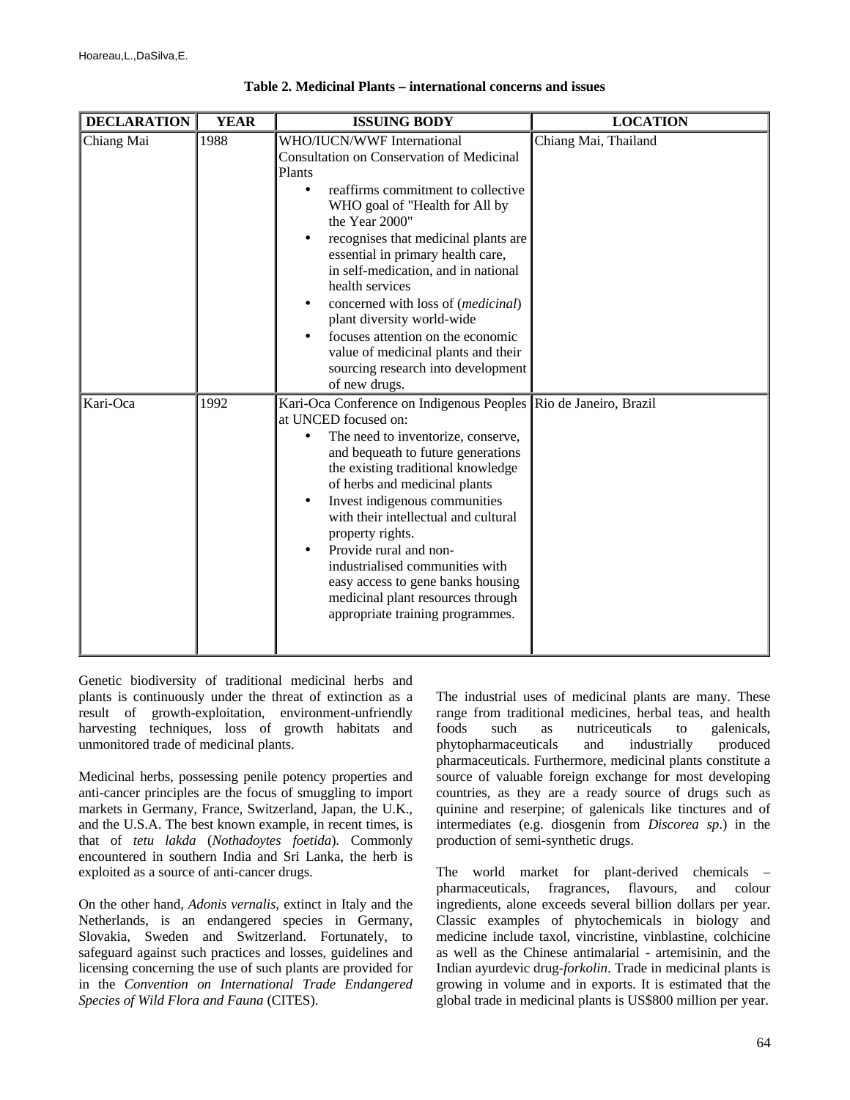| <b>DECLARATION</b> | <b>YEAR</b> | <b>ISSUING BODY</b>                                                                                                                                                                                                                                                                                                                                                                                                                                                                                                                       | <b>LOCATION</b>        |
|--------------------|-------------|-------------------------------------------------------------------------------------------------------------------------------------------------------------------------------------------------------------------------------------------------------------------------------------------------------------------------------------------------------------------------------------------------------------------------------------------------------------------------------------------------------------------------------------------|------------------------|
| Chiang Mai         | 1988        | WHO/IUCN/WWF International<br><b>Consultation on Conservation of Medicinal</b><br>Plants<br>reaffirms commitment to collective<br>WHO goal of "Health for All by<br>the Year 2000"<br>recognises that medicinal plants are<br>essential in primary health care,<br>in self-medication, and in national<br>health services<br>concerned with loss of ( <i>medicinal</i> )<br>plant diversity world-wide<br>focuses attention on the economic<br>value of medicinal plants and their<br>sourcing research into development<br>of new drugs. | Chiang Mai, Thailand   |
| Kari-Oca           | 1992        | Kari-Oca Conference on Indigenous Peoples<br>at UNCED focused on:<br>The need to inventorize, conserve,<br>and bequeath to future generations<br>the existing traditional knowledge<br>of herbs and medicinal plants<br>Invest indigenous communities<br>with their intellectual and cultural<br>property rights.<br>Provide rural and non-<br>industrialised communities with<br>easy access to gene banks housing<br>medicinal plant resources through<br>appropriate training programmes.                                              | Rio de Janeiro, Brazil |

#### **Table 2. Medicinal Plants – international concerns and issues**

Genetic biodiversity of traditional medicinal herbs and plants is continuously under the threat of extinction as a result of growth-exploitation, environment-unfriendly harvesting techniques, loss of growth habitats and unmonitored trade of medicinal plants.

Medicinal herbs, possessing penile potency properties and anti-cancer principles are the focus of smuggling to import markets in Germany, France, Switzerland, Japan, the U.K., and the U.S.A. The best known example, in recent times, is that of *tetu lakda* (*Nothadoytes foetida*). Commonly encountered in southern India and Sri Lanka, the herb is exploited as a source of anti-cancer drugs.

On the other hand, *Adonis vernalis*, extinct in Italy and the Netherlands, is an endangered species in Germany, Slovakia, Sweden and Switzerland. Fortunately, to safeguard against such practices and losses, guidelines and licensing concerning the use of such plants are provided for in the *Convention on International Trade Endangered Species of Wild Flora and Fauna* (CITES).

The industrial uses of medicinal plants are many. These range from traditional medicines, herbal teas, and health foods such as nutriceuticals to galenicals, phytopharmaceuticals and industrially produced pharmaceuticals. Furthermore, medicinal plants constitute a source of valuable foreign exchange for most developing countries, as they are a ready source of drugs such as quinine and reserpine; of galenicals like tinctures and of intermediates (e.g. diosgenin from *Discorea sp*.) in the production of semi-synthetic drugs.

The world market for plant-derived chemicals – pharmaceuticals, fragrances, flavours, and colour ingredients, alone exceeds several billion dollars per year. Classic examples of phytochemicals in biology and medicine include taxol, vincristine, vinblastine, colchicine as well as the Chinese antimalarial - artemisinin, and the Indian ayurdevic drug-*forkolin*. Trade in medicinal plants is growing in volume and in exports. It is estimated that the global trade in medicinal plants is US\$800 million per year.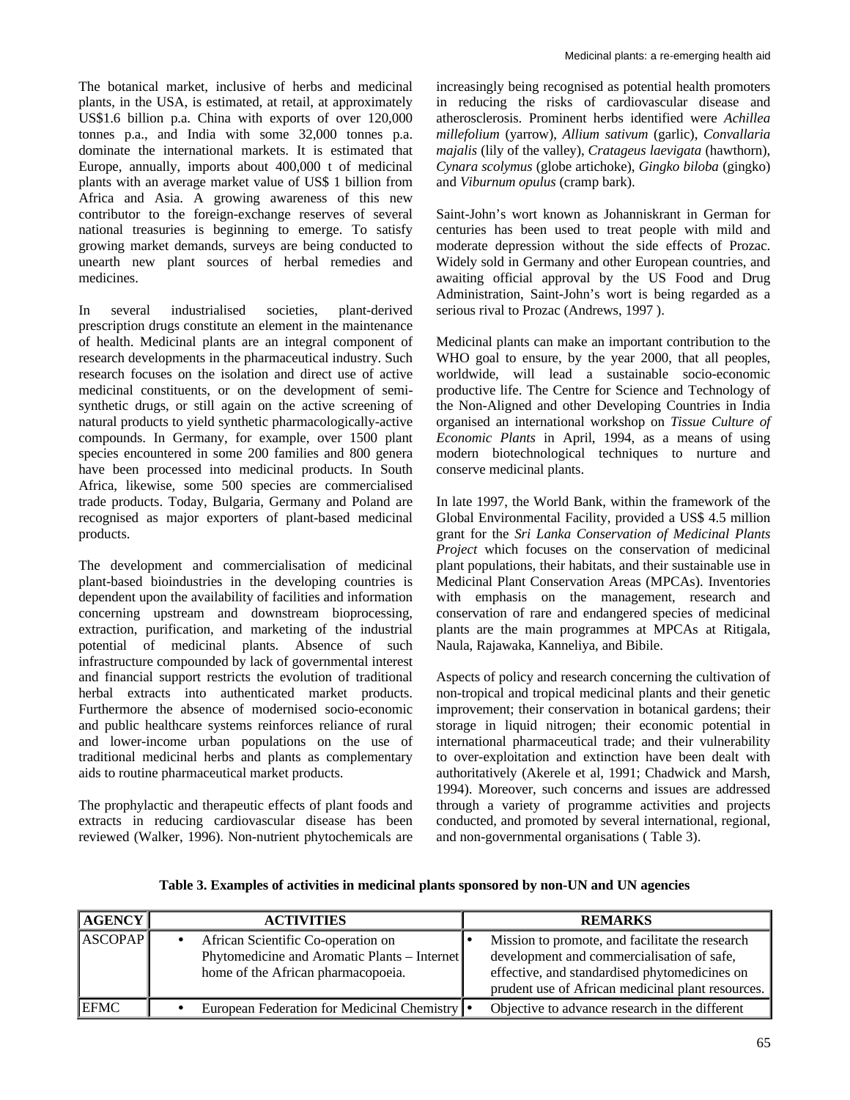The botanical market, inclusive of herbs and medicinal plants, in the USA, is estimated, at retail, at approximately US\$1.6 billion p.a. China with exports of over 120,000 tonnes p.a., and India with some 32,000 tonnes p.a. dominate the international markets. It is estimated that Europe, annually, imports about 400,000 t of medicinal plants with an average market value of US\$ 1 billion from Africa and Asia. A growing awareness of this new contributor to the foreign-exchange reserves of several national treasuries is beginning to emerge. To satisfy growing market demands, surveys are being conducted to unearth new plant sources of herbal remedies and medicines.

In several industrialised societies, plant-derived prescription drugs constitute an element in the maintenance of health. Medicinal plants are an integral component of research developments in the pharmaceutical industry. Such research focuses on the isolation and direct use of active medicinal constituents, or on the development of semisynthetic drugs, or still again on the active screening of natural products to yield synthetic pharmacologically-active compounds. In Germany, for example, over 1500 plant species encountered in some 200 families and 800 genera have been processed into medicinal products. In South Africa, likewise, some 500 species are commercialised trade products. Today, Bulgaria, Germany and Poland are recognised as major exporters of plant-based medicinal products.

The development and commercialisation of medicinal plant-based bioindustries in the developing countries is dependent upon the availability of facilities and information concerning upstream and downstream bioprocessing, extraction, purification, and marketing of the industrial potential of medicinal plants. Absence of such infrastructure compounded by lack of governmental interest and financial support restricts the evolution of traditional herbal extracts into authenticated market products. Furthermore the absence of modernised socio-economic and public healthcare systems reinforces reliance of rural and lower-income urban populations on the use of traditional medicinal herbs and plants as complementary aids to routine pharmaceutical market products.

The prophylactic and therapeutic effects of plant foods and extracts in reducing cardiovascular disease has been reviewed (Walker, 1996). Non-nutrient phytochemicals are

increasingly being recognised as potential health promoters in reducing the risks of cardiovascular disease and atherosclerosis. Prominent herbs identified were *Achillea millefolium* (yarrow), *Allium sativum* (garlic), *Convallaria majalis* (lily of the valley), *Cratageus laevigata* (hawthorn), *Cynara scolymus* (globe artichoke), *Gingko biloba* (gingko) and *Viburnum opulus* (cramp bark).

Saint-John's wort known as Johanniskrant in German for centuries has been used to treat people with mild and moderate depression without the side effects of Prozac. Widely sold in Germany and other European countries, and awaiting official approval by the US Food and Drug Administration, Saint-John's wort is being regarded as a serious rival to Prozac (Andrews, 1997 ).

Medicinal plants can make an important contribution to the WHO goal to ensure, by the year 2000, that all peoples, worldwide, will lead a sustainable socio-economic productive life. The Centre for Science and Technology of the Non-Aligned and other Developing Countries in India organised an international workshop on *Tissue Culture of Economic Plants* in April, 1994, as a means of using modern biotechnological techniques to nurture and conserve medicinal plants.

In late 1997, the World Bank, within the framework of the Global Environmental Facility, provided a US\$ 4.5 million grant for the *Sri Lanka Conservation of Medicinal Plants Project* which focuses on the conservation of medicinal plant populations, their habitats, and their sustainable use in Medicinal Plant Conservation Areas (MPCAs). Inventories with emphasis on the management, research and conservation of rare and endangered species of medicinal plants are the main programmes at MPCAs at Ritigala, Naula, Rajawaka, Kanneliya, and Bibile.

Aspects of policy and research concerning the cultivation of non-tropical and tropical medicinal plants and their genetic improvement; their conservation in botanical gardens; their storage in liquid nitrogen; their economic potential in international pharmaceutical trade; and their vulnerability to over-exploitation and extinction have been dealt with authoritatively (Akerele et al, 1991; Chadwick and Marsh, 1994). Moreover, such concerns and issues are addressed through a variety of programme activities and projects conducted, and promoted by several international, regional, and non-governmental organisations ( Table 3).

|  | Table 3. Examples of activities in medicinal plants sponsored by non-UN and UN agencies |  |
|--|-----------------------------------------------------------------------------------------|--|
|  |                                                                                         |  |

| <b>AGENCY</b>  | <b>ACTIVITIES</b>                                                                                                        | <b>REMARKS</b>                                                                                                                                                                                      |
|----------------|--------------------------------------------------------------------------------------------------------------------------|-----------------------------------------------------------------------------------------------------------------------------------------------------------------------------------------------------|
| <b>ASCOPAP</b> | African Scientific Co-operation on<br>Phytomedicine and Aromatic Plants – Internet<br>home of the African pharmacopoeia. | Mission to promote, and facilitate the research<br>development and commercialisation of safe,<br>effective, and standardised phytomedicines on<br>prudent use of African medicinal plant resources. |
| <b>EFMC</b>    | European Federation for Medicinal Chemistry   •                                                                          | Objective to advance research in the different                                                                                                                                                      |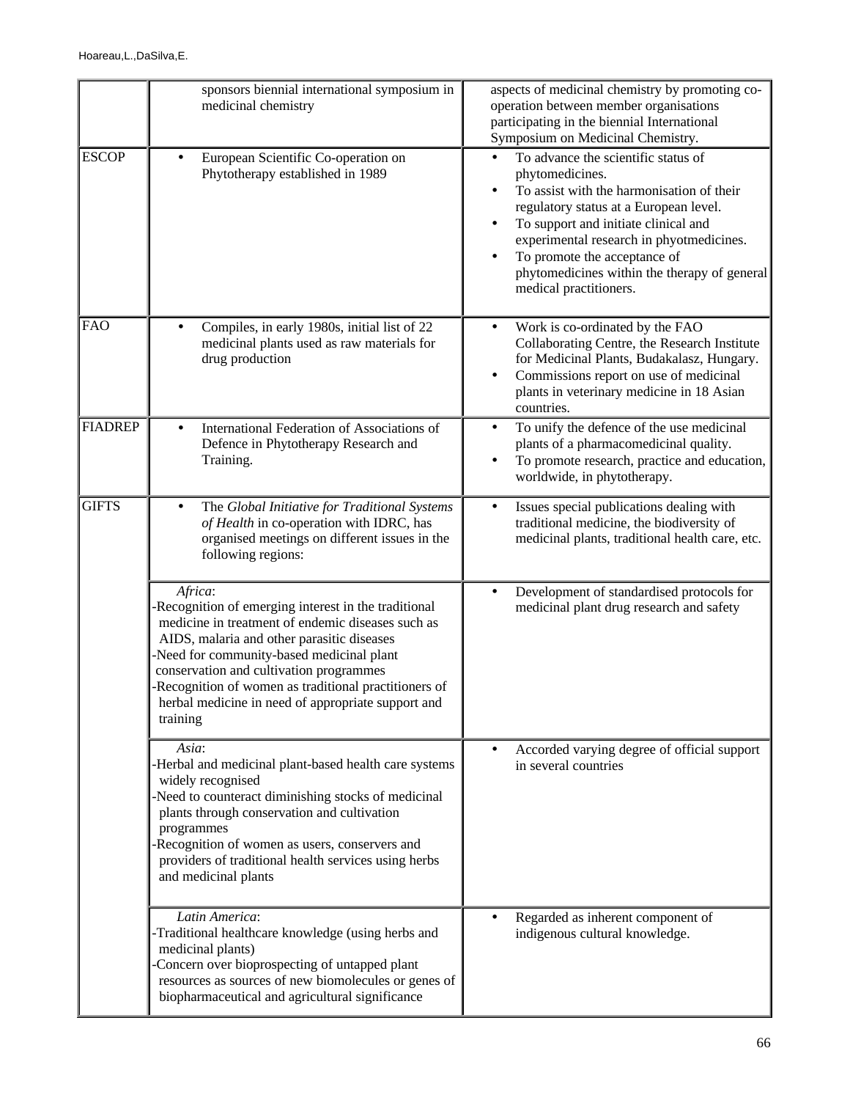|                | sponsors biennial international symposium in<br>medicinal chemistry                                                                                                                                                                                                                                                                                                                   | aspects of medicinal chemistry by promoting co-<br>operation between member organisations<br>participating in the biennial International<br>Symposium on Medicinal Chemistry.                                                                                                                                                               |
|----------------|---------------------------------------------------------------------------------------------------------------------------------------------------------------------------------------------------------------------------------------------------------------------------------------------------------------------------------------------------------------------------------------|---------------------------------------------------------------------------------------------------------------------------------------------------------------------------------------------------------------------------------------------------------------------------------------------------------------------------------------------|
| <b>ESCOP</b>   | European Scientific Co-operation on<br>Phytotherapy established in 1989                                                                                                                                                                                                                                                                                                               | To advance the scientific status of<br>phytomedicines.<br>To assist with the harmonisation of their<br>regulatory status at a European level.<br>To support and initiate clinical and<br>experimental research in phyotmedicines.<br>To promote the acceptance of<br>phytomedicines within the therapy of general<br>medical practitioners. |
| <b>FAO</b>     | Compiles, in early 1980s, initial list of 22<br>$\bullet$<br>medicinal plants used as raw materials for<br>drug production                                                                                                                                                                                                                                                            | Work is co-ordinated by the FAO<br>Collaborating Centre, the Research Institute<br>for Medicinal Plants, Budakalasz, Hungary.<br>Commissions report on use of medicinal<br>plants in veterinary medicine in 18 Asian<br>countries.                                                                                                          |
| <b>FIADREP</b> | International Federation of Associations of<br>$\bullet$<br>Defence in Phytotherapy Research and<br>Training.                                                                                                                                                                                                                                                                         | To unify the defence of the use medicinal<br>$\bullet$<br>plants of a pharmacomedicinal quality.<br>To promote research, practice and education,<br>worldwide, in phytotherapy.                                                                                                                                                             |
| <b>GIFTS</b>   | The Global Initiative for Traditional Systems<br>$\bullet$<br>of Health in co-operation with IDRC, has<br>organised meetings on different issues in the<br>following regions:                                                                                                                                                                                                         | Issues special publications dealing with<br>traditional medicine, the biodiversity of<br>medicinal plants, traditional health care, etc.                                                                                                                                                                                                    |
|                | Africa:<br>-Recognition of emerging interest in the traditional<br>medicine in treatment of endemic diseases such as<br>AIDS, malaria and other parasitic diseases<br>-Need for community-based medicinal plant<br>conservation and cultivation programmes<br>-Recognition of women as traditional practitioners of<br>herbal medicine in need of appropriate support and<br>training | Development of standardised protocols for<br>$\bullet$<br>medicinal plant drug research and safety                                                                                                                                                                                                                                          |
|                | Asia:<br>-Herbal and medicinal plant-based health care systems<br>widely recognised<br>-Need to counteract diminishing stocks of medicinal<br>plants through conservation and cultivation<br>programmes<br>Recognition of women as users, conservers and<br>providers of traditional health services using herbs<br>and medicinal plants                                              | Accorded varying degree of official support<br>in several countries                                                                                                                                                                                                                                                                         |
|                | Latin America:<br>-Traditional healthcare knowledge (using herbs and<br>medicinal plants)<br>Concern over bioprospecting of untapped plant<br>resources as sources of new biomolecules or genes of<br>biopharmaceutical and agricultural significance                                                                                                                                 | Regarded as inherent component of<br>indigenous cultural knowledge.                                                                                                                                                                                                                                                                         |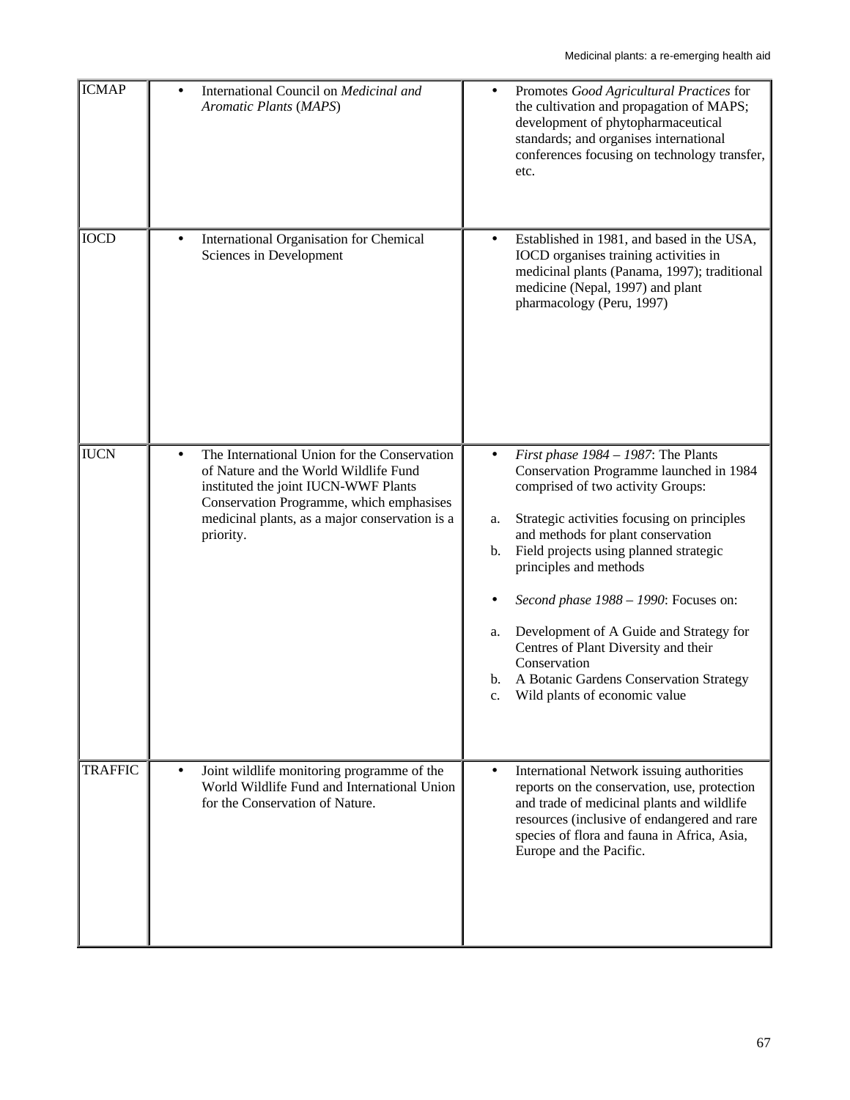| <b>ICMAP</b>   | International Council on Medicinal and<br>Aromatic Plants (MAPS)                                                                                                                                                                                      | Promotes Good Agricultural Practices for<br>the cultivation and propagation of MAPS;<br>development of phytopharmaceutical<br>standards; and organises international<br>conferences focusing on technology transfer,<br>etc.                                                                                                                                                                                                                                                                                                                     |
|----------------|-------------------------------------------------------------------------------------------------------------------------------------------------------------------------------------------------------------------------------------------------------|--------------------------------------------------------------------------------------------------------------------------------------------------------------------------------------------------------------------------------------------------------------------------------------------------------------------------------------------------------------------------------------------------------------------------------------------------------------------------------------------------------------------------------------------------|
| <b>IOCD</b>    | International Organisation for Chemical<br>٠<br>Sciences in Development                                                                                                                                                                               | Established in 1981, and based in the USA,<br>$\bullet$<br>IOCD organises training activities in<br>medicinal plants (Panama, 1997); traditional<br>medicine (Nepal, 1997) and plant<br>pharmacology (Peru, 1997)                                                                                                                                                                                                                                                                                                                                |
| <b>IUCN</b>    | The International Union for the Conservation<br>$\bullet$<br>of Nature and the World Wildlife Fund<br>instituted the joint IUCN-WWF Plants<br>Conservation Programme, which emphasises<br>medicinal plants, as a major conservation is a<br>priority. | <i>First phase</i> $1984 - 1987$ : The Plants<br>$\bullet$<br>Conservation Programme launched in 1984<br>comprised of two activity Groups:<br>Strategic activities focusing on principles<br>a.<br>and methods for plant conservation<br>Field projects using planned strategic<br>b.<br>principles and methods<br>Second phase 1988 - 1990: Focuses on:<br>Development of A Guide and Strategy for<br>a.<br>Centres of Plant Diversity and their<br>Conservation<br>b. A Botanic Gardens Conservation Strategy<br>Wild plants of economic value |
| <b>TRAFFIC</b> | Joint wildlife monitoring programme of the<br>$\bullet$<br>World Wildlife Fund and International Union<br>for the Conservation of Nature.                                                                                                             | International Network issuing authorities<br>$\bullet$<br>reports on the conservation, use, protection<br>and trade of medicinal plants and wildlife<br>resources (inclusive of endangered and rare<br>species of flora and fauna in Africa, Asia,<br>Europe and the Pacific.                                                                                                                                                                                                                                                                    |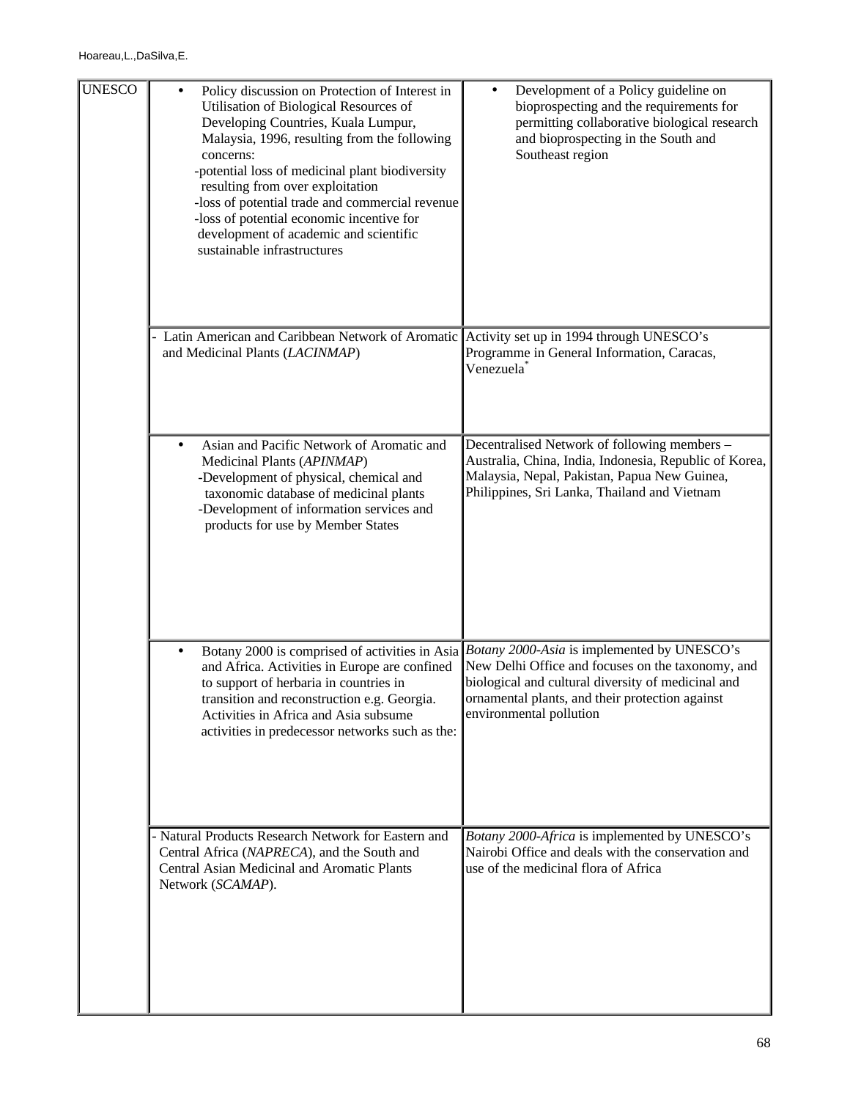| <b>UNESCO</b> | Policy discussion on Protection of Interest in<br>$\bullet$<br>Utilisation of Biological Resources of<br>Developing Countries, Kuala Lumpur,<br>Malaysia, 1996, resulting from the following<br>concerns:<br>-potential loss of medicinal plant biodiversity<br>resulting from over exploitation<br>-loss of potential trade and commercial revenue<br>-loss of potential economic incentive for<br>development of academic and scientific<br>sustainable infrastructures | Development of a Policy guideline on<br>$\bullet$<br>bioprospecting and the requirements for<br>permitting collaborative biological research<br>and bioprospecting in the South and<br>Southeast region                              |
|---------------|---------------------------------------------------------------------------------------------------------------------------------------------------------------------------------------------------------------------------------------------------------------------------------------------------------------------------------------------------------------------------------------------------------------------------------------------------------------------------|--------------------------------------------------------------------------------------------------------------------------------------------------------------------------------------------------------------------------------------|
|               | Latin American and Caribbean Network of Aromatic<br>and Medicinal Plants (LACINMAP)                                                                                                                                                                                                                                                                                                                                                                                       | Activity set up in 1994 through UNESCO's<br>Programme in General Information, Caracas,<br>Venezuela <sup>*</sup>                                                                                                                     |
|               | Asian and Pacific Network of Aromatic and<br>$\bullet$<br>Medicinal Plants (APINMAP)<br>-Development of physical, chemical and<br>taxonomic database of medicinal plants<br>-Development of information services and<br>products for use by Member States                                                                                                                                                                                                                 | Decentralised Network of following members -<br>Australia, China, India, Indonesia, Republic of Korea,<br>Malaysia, Nepal, Pakistan, Papua New Guinea,<br>Philippines, Sri Lanka, Thailand and Vietnam                               |
|               | Botany 2000 is comprised of activities in Asia<br>and Africa. Activities in Europe are confined<br>to support of herbaria in countries in<br>transition and reconstruction e.g. Georgia.<br>Activities in Africa and Asia subsume<br>activities in predecessor networks such as the:                                                                                                                                                                                      | Botany 2000-Asia is implemented by UNESCO's<br>New Delhi Office and focuses on the taxonomy, and<br>biological and cultural diversity of medicinal and<br>ornamental plants, and their protection against<br>environmental pollution |
|               | - Natural Products Research Network for Eastern and<br>Central Africa (NAPRECA), and the South and<br>Central Asian Medicinal and Aromatic Plants<br>Network (SCAMAP).                                                                                                                                                                                                                                                                                                    | Botany 2000-Africa is implemented by UNESCO's<br>Nairobi Office and deals with the conservation and<br>use of the medicinal flora of Africa                                                                                          |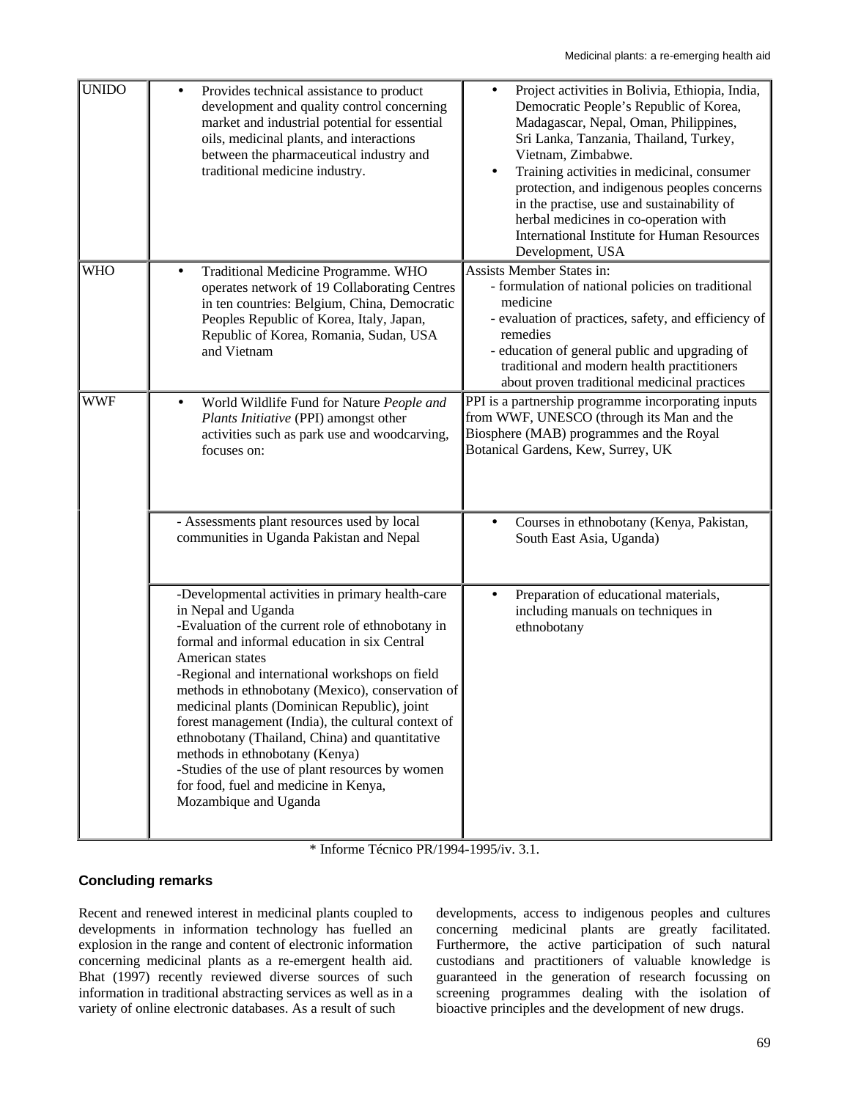| <b>UNIDO</b> | Provides technical assistance to product<br>development and quality control concerning<br>market and industrial potential for essential<br>oils, medicinal plants, and interactions<br>between the pharmaceutical industry and<br>traditional medicine industry.                                                                                                                                                                                                                                                                                                                                                     | Project activities in Bolivia, Ethiopia, India,<br>Democratic People's Republic of Korea,<br>Madagascar, Nepal, Oman, Philippines,<br>Sri Lanka, Tanzania, Thailand, Turkey,<br>Vietnam, Zimbabwe.<br>Training activities in medicinal, consumer<br>protection, and indigenous peoples concerns<br>in the practise, use and sustainability of<br>herbal medicines in co-operation with<br><b>International Institute for Human Resources</b><br>Development, USA |
|--------------|----------------------------------------------------------------------------------------------------------------------------------------------------------------------------------------------------------------------------------------------------------------------------------------------------------------------------------------------------------------------------------------------------------------------------------------------------------------------------------------------------------------------------------------------------------------------------------------------------------------------|------------------------------------------------------------------------------------------------------------------------------------------------------------------------------------------------------------------------------------------------------------------------------------------------------------------------------------------------------------------------------------------------------------------------------------------------------------------|
| <b>WHO</b>   | Traditional Medicine Programme. WHO<br>$\bullet$<br>operates network of 19 Collaborating Centres<br>in ten countries: Belgium, China, Democratic<br>Peoples Republic of Korea, Italy, Japan,<br>Republic of Korea, Romania, Sudan, USA<br>and Vietnam                                                                                                                                                                                                                                                                                                                                                                | Assists Member States in:<br>- formulation of national policies on traditional<br>medicine<br>- evaluation of practices, safety, and efficiency of<br>remedies<br>- education of general public and upgrading of<br>traditional and modern health practitioners<br>about proven traditional medicinal practices                                                                                                                                                  |
| <b>WWF</b>   | World Wildlife Fund for Nature People and<br>$\bullet$<br>Plants Initiative (PPI) amongst other<br>activities such as park use and woodcarving,<br>focuses on:                                                                                                                                                                                                                                                                                                                                                                                                                                                       | PPI is a partnership programme incorporating inputs<br>from WWF, UNESCO (through its Man and the<br>Biosphere (MAB) programmes and the Royal<br>Botanical Gardens, Kew, Surrey, UK                                                                                                                                                                                                                                                                               |
|              | - Assessments plant resources used by local<br>communities in Uganda Pakistan and Nepal                                                                                                                                                                                                                                                                                                                                                                                                                                                                                                                              | Courses in ethnobotany (Kenya, Pakistan,<br>$\bullet$<br>South East Asia, Uganda)                                                                                                                                                                                                                                                                                                                                                                                |
|              | -Developmental activities in primary health-care<br>in Nepal and Uganda<br>-Evaluation of the current role of ethnobotany in<br>formal and informal education in six Central<br>American states<br>-Regional and international workshops on field<br>methods in ethnobotany (Mexico), conservation of<br>medicinal plants (Dominican Republic), joint<br>forest management (India), the cultural context of<br>ethnobotany (Thailand, China) and quantitative<br>methods in ethnobotany (Kenya)<br>-Studies of the use of plant resources by women<br>for food, fuel and medicine in Kenya,<br>Mozambique and Uganda | Preparation of educational materials,<br>$\bullet$<br>including manuals on techniques in<br>ethnobotany                                                                                                                                                                                                                                                                                                                                                          |

\* Informe Técnico PR/1994-1995/iv. 3.1.

# **Concluding remarks**

Recent and renewed interest in medicinal plants coupled to developments in information technology has fuelled an explosion in the range and content of electronic information concerning medicinal plants as a re-emergent health aid. Bhat (1997) recently reviewed diverse sources of such information in traditional abstracting services as well as in a variety of online electronic databases. As a result of such

developments, access to indigenous peoples and cultures concerning medicinal plants are greatly facilitated. Furthermore, the active participation of such natural custodians and practitioners of valuable knowledge is guaranteed in the generation of research focussing on screening programmes dealing with the isolation of bioactive principles and the development of new drugs.